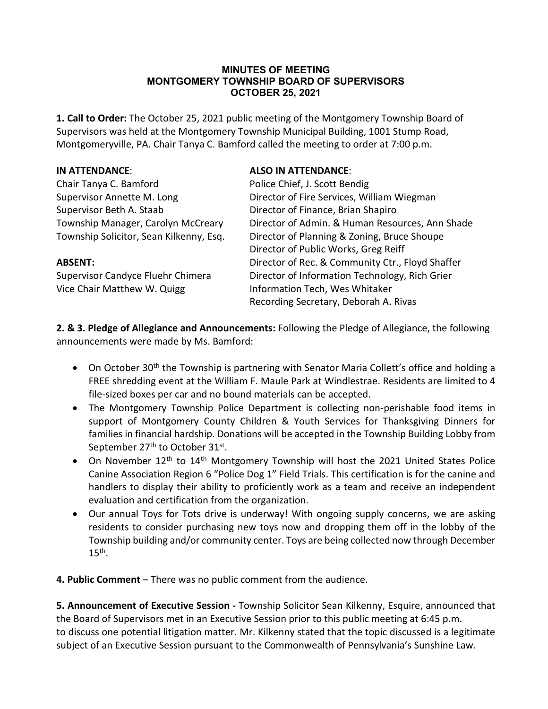#### **MINUTES OF MEETING MONTGOMERY TOWNSHIP BOARD OF SUPERVISORS OCTOBER 25, 2021**

**1. Call to Order:** The October 25, 2021 public meeting of the Montgomery Township Board of Supervisors was held at the Montgomery Township Municipal Building, 1001 Stump Road, Montgomeryville, PA. Chair Tanya C. Bamford called the meeting to order at 7:00 p.m.

| <b>ALSO IN ATTENDANCE:</b>                       |
|--------------------------------------------------|
| Police Chief, J. Scott Bendig                    |
| Director of Fire Services, William Wiegman       |
| Director of Finance, Brian Shapiro               |
| Director of Admin. & Human Resources, Ann Shade  |
| Director of Planning & Zoning, Bruce Shoupe      |
| Director of Public Works, Greg Reiff             |
| Director of Rec. & Community Ctr., Floyd Shaffer |
| Director of Information Technology, Rich Grier   |
| Information Tech, Wes Whitaker                   |
| Recording Secretary, Deborah A. Rivas            |
|                                                  |

**2. & 3. Pledge of Allegiance and Announcements:** Following the Pledge of Allegiance, the following announcements were made by Ms. Bamford:

- On October 30<sup>th</sup> the Township is partnering with Senator Maria Collett's office and holding a FREE shredding event at the William F. Maule Park at Windlestrae. Residents are limited to 4 file-sized boxes per car and no bound materials can be accepted.
- The Montgomery Township Police Department is collecting non-perishable food items in support of Montgomery County Children & Youth Services for Thanksgiving Dinners for families in financial hardship. Donations will be accepted in the Township Building Lobby from September 27<sup>th</sup> to October 31<sup>st</sup>.
- On November 12<sup>th</sup> to 14<sup>th</sup> Montgomery Township will host the 2021 United States Police Canine Association Region 6 "Police Dog 1" Field Trials. This certification is for the canine and handlers to display their ability to proficiently work as a team and receive an independent evaluation and certification from the organization.
- Our annual Toys for Tots drive is underway! With ongoing supply concerns, we are asking residents to consider purchasing new toys now and dropping them off in the lobby of the Township building and/or community center. Toys are being collected now through December  $15<sup>th</sup>$ .

**4. Public Comment** – There was no public comment from the audience.

**5. Announcement of Executive Session -** Township Solicitor Sean Kilkenny, Esquire, announced that the Board of Supervisors met in an Executive Session prior to this public meeting at 6:45 p.m. to discuss one potential litigation matter. Mr. Kilkenny stated that the topic discussed is a legitimate subject of an Executive Session pursuant to the Commonwealth of Pennsylvania's Sunshine Law.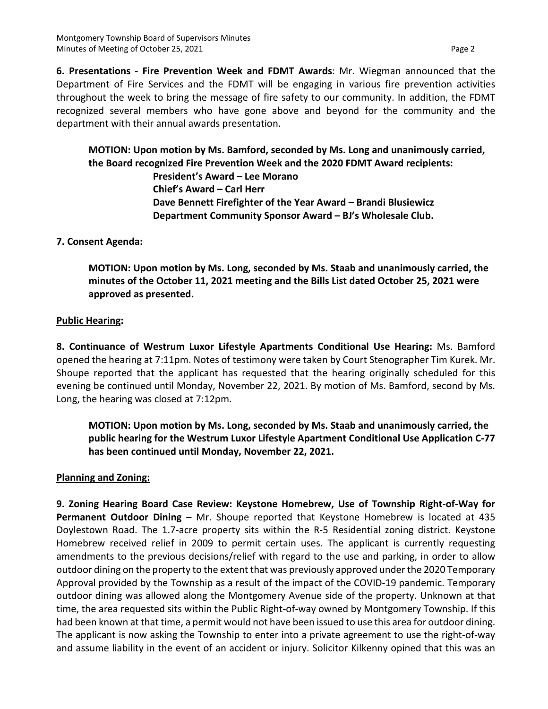**6. Presentations - Fire Prevention Week and FDMT Awards**: Mr. Wiegman announced that the Department of Fire Services and the FDMT will be engaging in various fire prevention activities throughout the week to bring the message of fire safety to our community. In addition, the FDMT recognized several members who have gone above and beyond for the community and the department with their annual awards presentation.

**MOTION: Upon motion by Ms. Bamford, seconded by Ms. Long and unanimously carried, the Board recognized Fire Prevention Week and the 2020 FDMT Award recipients:** 

> **President's Award – Lee Morano Chief's Award – Carl Herr Dave Bennett Firefighter of the Year Award – Brandi Blusiewicz Department Community Sponsor Award – BJ's Wholesale Club.**

## **7. Consent Agenda:**

**MOTION: Upon motion by Ms. Long, seconded by Ms. Staab and unanimously carried, the minutes of the October 11, 2021 meeting and the Bills List dated October 25, 2021 were approved as presented.**

## **Public Hearing:**

**8. Continuance of Westrum Luxor Lifestyle Apartments Conditional Use Hearing:** Ms. Bamford opened the hearing at 7:11pm. Notes of testimony were taken by Court Stenographer Tim Kurek. Mr. Shoupe reported that the applicant has requested that the hearing originally scheduled for this evening be continued until Monday, November 22, 2021. By motion of Ms. Bamford, second by Ms. Long, the hearing was closed at 7:12pm.

**MOTION: Upon motion by Ms. Long, seconded by Ms. Staab and unanimously carried, the public hearing for the Westrum Luxor Lifestyle Apartment Conditional Use Application C-77 has been continued until Monday, November 22, 2021.**

## **Planning and Zoning:**

**9. Zoning Hearing Board Case Review: Keystone Homebrew, Use of Township Right-of-Way for Permanent Outdoor Dining** – Mr. Shoupe reported that Keystone Homebrew is located at 435 Doylestown Road. The 1.7-acre property sits within the R-5 Residential zoning district. Keystone Homebrew received relief in 2009 to permit certain uses. The applicant is currently requesting amendments to the previous decisions/relief with regard to the use and parking, in order to allow outdoor dining on the property to the extent that was previously approved under the 2020 Temporary Approval provided by the Township as a result of the impact of the COVID-19 pandemic. Temporary outdoor dining was allowed along the Montgomery Avenue side of the property. Unknown at that time, the area requested sits within the Public Right-of-way owned by Montgomery Township. If this had been known at that time, a permit would not have been issued to use this area for outdoor dining. The applicant is now asking the Township to enter into a private agreement to use the right-of-way and assume liability in the event of an accident or injury. Solicitor Kilkenny opined that this was an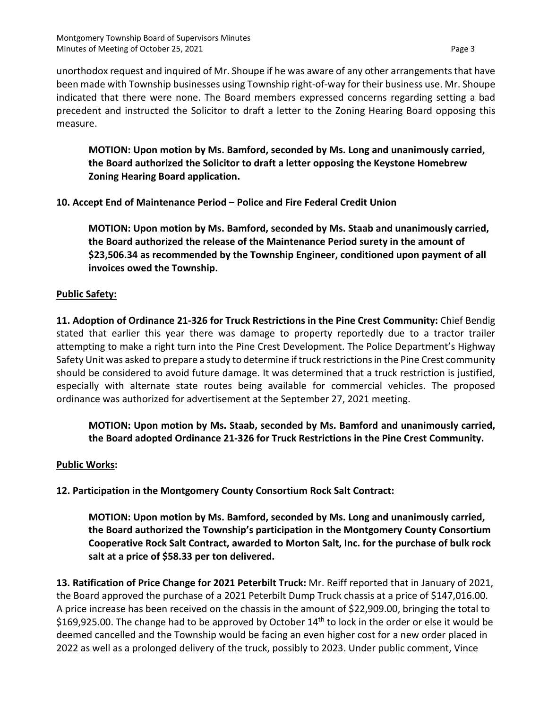**MOTION: Upon motion by Ms. Bamford, seconded by Ms. Long and unanimously carried, the Board authorized the Solicitor to draft a letter opposing the Keystone Homebrew Zoning Hearing Board application.**

**10. Accept End of Maintenance Period – Police and Fire Federal Credit Union**

**MOTION: Upon motion by Ms. Bamford, seconded by Ms. Staab and unanimously carried, the Board authorized the release of the Maintenance Period surety in the amount of \$23,506.34 as recommended by the Township Engineer, conditioned upon payment of all invoices owed the Township.**

#### **Public Safety:**

**11. Adoption of Ordinance 21-326 for Truck Restrictions in the Pine Crest Community:** Chief Bendig stated that earlier this year there was damage to property reportedly due to a tractor trailer attempting to make a right turn into the Pine Crest Development. The Police Department's Highway Safety Unit was asked to prepare a study to determine if truck restrictions in the Pine Crest community should be considered to avoid future damage. It was determined that a truck restriction is justified, especially with alternate state routes being available for commercial vehicles. The proposed ordinance was authorized for advertisement at the September 27, 2021 meeting.

**MOTION: Upon motion by Ms. Staab, seconded by Ms. Bamford and unanimously carried, the Board adopted Ordinance 21-326 for Truck Restrictions in the Pine Crest Community.**

#### **Public Works:**

**12. Participation in the Montgomery County Consortium Rock Salt Contract:**

**MOTION: Upon motion by Ms. Bamford, seconded by Ms. Long and unanimously carried, the Board authorized the Township's participation in the Montgomery County Consortium Cooperative Rock Salt Contract, awarded to Morton Salt, Inc. for the purchase of bulk rock salt at a price of \$58.33 per ton delivered.**

**13. Ratification of Price Change for 2021 Peterbilt Truck:** Mr. Reiff reported that in January of 2021, the Board approved the purchase of a 2021 Peterbilt Dump Truck chassis at a price of \$147,016.00. A price increase has been received on the chassis in the amount of \$22,909.00, bringing the total to \$169,925.00. The change had to be approved by October  $14<sup>th</sup>$  to lock in the order or else it would be deemed cancelled and the Township would be facing an even higher cost for a new order placed in 2022 as well as a prolonged delivery of the truck, possibly to 2023. Under public comment, Vince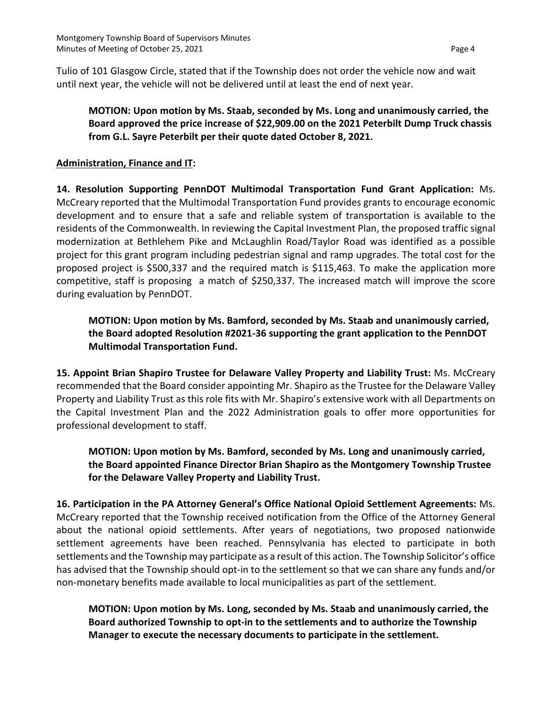Tulio of 101 Glasgow Circle, stated that if the Township does not order the vehicle now and wait until next year, the vehicle will not be delivered until at least the end of next year.

# **MOTION: Upon motion by Ms. Staab, seconded by Ms. Long and unanimously carried, the Board approved the price increase of \$22,909.00 on the 2021 Peterbilt Dump Truck chassis from G.L. Sayre Peterbilt per their quote dated October 8, 2021.**

### **Administration, Finance and IT:**

**14. Resolution Supporting PennDOT Multimodal Transportation Fund Grant Application:** Ms. McCreary reported that the Multimodal Transportation Fund provides grants to encourage economic development and to ensure that a safe and reliable system of transportation is available to the residents of the Commonwealth. In reviewing the Capital Investment Plan, the proposed traffic signal modernization at Bethlehem Pike and McLaughlin Road/Taylor Road was identified as a possible project for this grant program including pedestrian signal and ramp upgrades. The total cost for the proposed project is \$500,337 and the required match is \$115,463. To make the application more competitive, staff is proposing a match of \$250,337. The increased match will improve the score during evaluation by PennDOT.

**MOTION: Upon motion by Ms. Bamford, seconded by Ms. Staab and unanimously carried, the Board adopted Resolution #2021-36 supporting the grant application to the PennDOT Multimodal Transportation Fund.**

**15. Appoint Brian Shapiro Trustee for Delaware Valley Property and Liability Trust:** Ms. McCreary recommended that the Board consider appointing Mr. Shapiro as the Trustee for the Delaware Valley Property and Liability Trust as this role fits with Mr. Shapiro's extensive work with all Departments on the Capital Investment Plan and the 2022 Administration goals to offer more opportunities for professional development to staff.

**MOTION: Upon motion by Ms. Bamford, seconded by Ms. Long and unanimously carried, the Board appointed Finance Director Brian Shapiro as the Montgomery Township Trustee for the Delaware Valley Property and Liability Trust.**

**16. Participation in the PA Attorney General's Office National Opioid Settlement Agreements:** Ms. McCreary reported that the Township received notification from the Office of the Attorney General about the national opioid settlements. After years of negotiations, two proposed nationwide settlement agreements have been reached. Pennsylvania has elected to participate in both settlements and the Township may participate as a result of this action. The Township Solicitor's office has advised that the Township should opt-in to the settlement so that we can share any funds and/or non-monetary benefits made available to local municipalities as part of the settlement.

**MOTION: Upon motion by Ms. Long, seconded by Ms. Staab and unanimously carried, the Board authorized Township to opt-in to the settlements and to authorize the Township Manager to execute the necessary documents to participate in the settlement.**